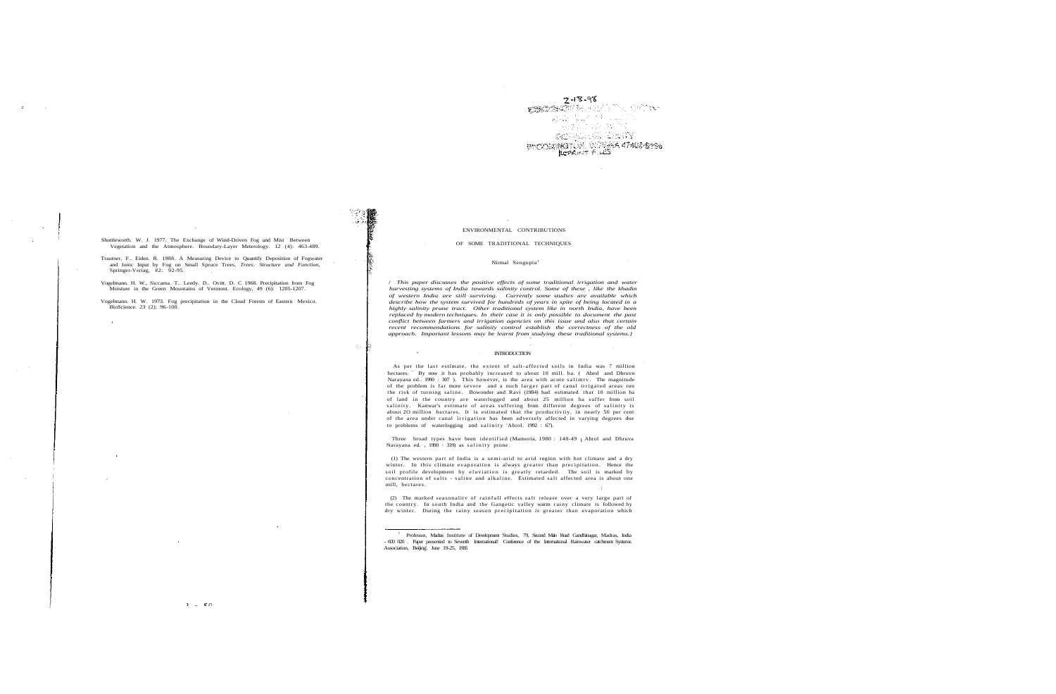Shuttleworth. W. J. 1977. The Exchange of Wind-Driven Fog and Mist Between Vegetation and the Atmosphere. Boundary-Layer Meterology. 12 (4): 463-489.

Vogelmann. H. W., Siccama. T.. Leedy. D.. Ovitt. D. C 1968. Precipitation from Fog Moisture in the Green Mountains of Vermont. Ecology, 49 (6): 1205-1207.

Trautner, F.. Eiden. R. 1988. A Measuring Device to Quantify Deposition of Fogwater and Ionic Input by Fog on Small Spruce Trees. *Trees: Structure and Function,* Springer-Veriag, #2: 92-95.

달?

 $\sim 5\,m_{\odot}$ 

 $\sim$ 

Vogelmann. H. W. 1973. Fog precipitation in the Cloud Forests of Eastern Mexico. BioScience. 23 (2): 96-100.

 $7 - 18 - 98$ **AND AND AND STATISTICS**  $\mathcal{O}(\sqrt{N_{\mathrm{BH}}})$ an ar Marie **NORWHAT ANNITY** BIOGRAPHICAL RESERVES ATACESSAS

## ENVIRONMENTAL CONTRIBUTIONS

#### OF SOME TRADITIONAL TECHNIQUES

#### Nirmal Sengupta<sup>1</sup>

As per the last estimate, the extent of salt-affected soils in India was 7 million hectares. By now it has probably increased to about 10 mill. ha. ( Abrol and Dhruvn Narayana ed.. 1990 : 307). This however, is the area with acute salimty. The magnitude of the problem is far more severe and a nuch large r part of canal irrigated areas run the risk of turning saline. Bowonder and Ravi (1984) had estimated that 10 million ha of land in the country are waterlogged and about 25 million ha suffer from soil salinity. Kanwar's estimate of areas suffering from different degrees of salinity is about 2O million hectares. It is estimated that the productivity, in nearly 50 per cent of the area under canal irrigatio n has been adversely affected in varying degrees due to problems of waterlogging and salinity 'Abrol. 1992 : 67).

Three broad types have been identified (Mamoria, 1980 : 148-49 ; Abrol and Dhruva Narayana ed., 1990 : 319) as salinity prone.

/ *This paper discusses the positive effects of some traditional irrigation and water harvesting systems of India towards salinity control. Some of these , like the khadin of western India are still surviving. Currently some studies are available which describe how the system survived for hundreds of years in spite of being located in a highly salinity prune tract. Other traditional system like in north India, have been replaced by modern techniques. In their case it is only possible to document the past conflict between farmers and irrigation agencies on this issue and also that certain recent recommendations for salinity control establish the correctness of the old approach. Important lessons may be learnt from studying these traditional systems.}*

#### INTRODUCTION

 $\sim 10^{-1}$ 

(2) The marked seasonality of rainfall effects salt release over a very large part of the country. In south India and the Gangetic valley warm rainy climate is followed by dry winter. During the rainy season precipitation *is* greater than evaporation which

(1) The western part of India is a semi-arid to arid region with hot climate and a dry winter. In this climate evaporation is always greater than precipitation. Hence the soil profile development by eluviation is greatly retarded. The soil is marked by concentration of salts - saline and alkaline . Estimated salt affected area is about one mill, hectares.

<sup>&</sup>lt;sup>1</sup> Professor, Madras Institute of Development Studies, 79, Second Main Road Gandhinagar, Madras, India<br>- 600 020 . Paper presented to Seventh International! Conference of the International Rainwater catchment Systems Association, Beijing', June 19-25, 1SSS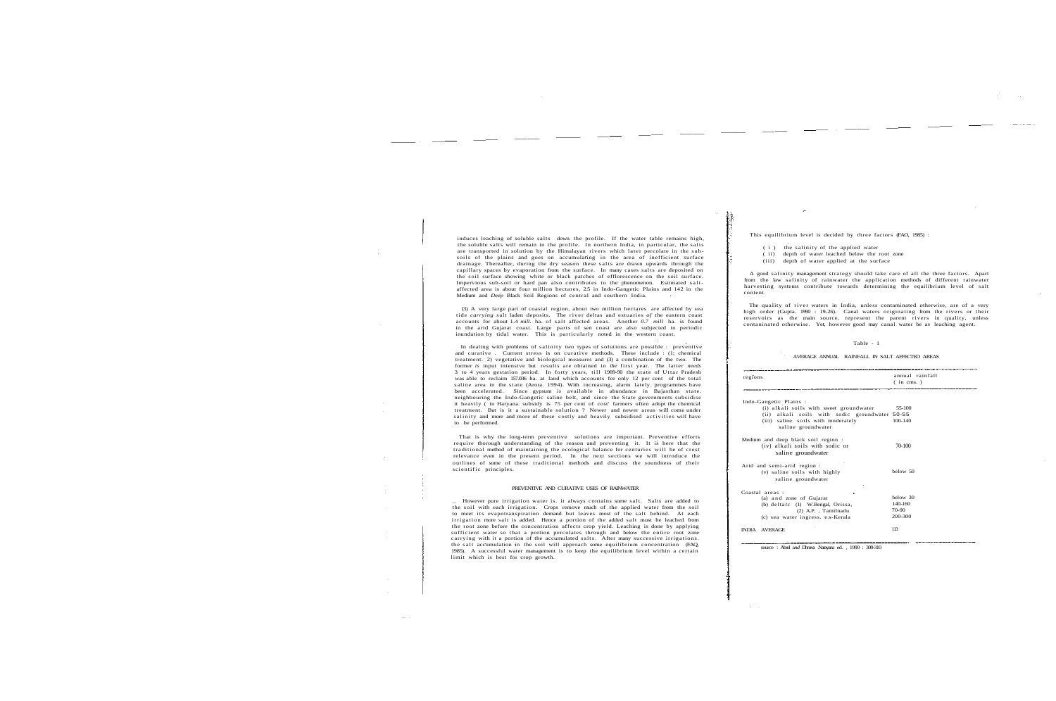induces leaching of soluble salts down the profile. If the water table remains high, the soluble salts will remain in the profile. In northern India, in particular, the salts are transported in solution by the Himalayan rivers which later percolate in the subsoils of the plains and goes on accumulating in the area of inefficient surface drainage. Thereafter, during the dry season these salts are drawn upwards through the capillary spaces by evaporation from the surface. In many cases salts are deposited on the soil surface showing white or black patches of efflorescence on the soil surface. Impervious sub-soil or hard pan also contributes to the phenomenon. Estimated saltaffected area is about four million hectares, 2.5 in Indo-Gangetic Plains and 142 in the Medium and *Deep* Black Soil Regions of central and southern India.

(3) A very large part of coastal region, about two million hectares are affected by sea tide *carrying* salt laden deposits. The rive r deltas and estuaries *of* the eastern coast accounts for about 1.4 *mill.* ha. of salt affected areas. Another *0.7 mill* ha. is found in the arid Gujarat coast. Large parts of sen coast are also subjected to periodic inundation by tidal water. This is particularly noted in the western coast.

That is why the long-term preventive solutions are important. Preventive efforts require thorough understanding of the reason and preventing it. It is here that the traditional method of maintaining the ecological balance for centuries will be of crest relevance even in the present period. In the next sections we will introduce the outlines of some of these traditional methods and discuss the soundness of their scientific principles.

In dealing with problems of salinity two types of solutions are possible : preventive and curative . Current stress is on curative methods. These include : (1; chemical treatment. 2) vegetative and biological measures and (3) a combination of the two. The former *is* input intensive but results are obtained in *ihe* first year. The latter *needs* 3 to 4 years gestation period. In forty years, till 1989-90 the state of Uttar Pradesh was able to reclaim 157.036 ha. at land which accounts for only 12 per cent of the total saline area in the state (Arora. 1994). With increasing, alarm lately. programmes have been accelerated. Since gypsum *is* available in abundance in Bajasthan state. neighbouring the Indo-Gangetic saline belt, and since the State governments subsidise it heavily ( in Haryana. subsidy is 75 per cent of cost' farmers often adopt the chemical treatment. But is it a sustainable solution ? Newer and newer areas will come under salinity and more and more of these costly and heavily subsidised activitie s will have to be performed.

The quality of river waters in India, unless contaminated otherwise, are of a very high order (Gupta. 1990 : 19-26). Canal waters originating from the rivers or their reservoirs as the main source, represent the parent rivers in quality, unless contaninated otherwise. Yet, however good may canal water be as leaching agent.

## PREVENTIVE AND CURATIVE USES OF RAINWATER

.. However pure irrigation water is. it always contains some salt. Salts are added to the soil with each irrigation. Crops remove much of the applied water from the soil to meet its evapotranspiration demand but leaves most of the salt behind. At each irrigation more salt is added. Hence a portion of the added salt must be leached from the root zone before the concentration affects crop yield. Leaching is done by applying sufficient water so that a portion percolates through and below the entire root zone carrying with it a portion of the accumulated salts. After many successive irrigations.<br>the salt accumulation in the soil will approach some equilibrium concentration (FAQ, 1985). A successful water management is to keep the equilibrium level within a certain limit which is best for crop growth.

 $\mathcal{E}$ 

This equilibrium level is decided by three factors (FAO, 1985) :

( i ) the salinity of the applied water

( ii) depth of water leached below the root zone

(iii) depth of water applied at the surface

A good salinity management strategy should take care of all the three factors. Apart from the law salinity of rainwater the application methods of different rainwater harvesting systems contribute towards determining the equilibrium level of salt content.

## Table - 1

AVERAGE ANNUAL RAINFALL IN SALT AFFECTED AREAS

| regions                                                                                     | annual rainfall<br>$(in \, \, \text{cms.})$ |
|---------------------------------------------------------------------------------------------|---------------------------------------------|
| Indo-Gangetic Plains:                                                                       |                                             |
| (i) alkali soils with sweet groundwater                                                     | 55-100                                      |
| (ii) alkali soils with sodic groundwater 50-55                                              |                                             |
| (iii) saline soils with moderately<br>saline groundwater                                    | $100 - 140$                                 |
| Medium and deep black soil region:<br>(iv) alkali soils with sodic or<br>saline groundwater | 70-100                                      |
| Arid and semi-arid region :                                                                 |                                             |
| (v) saline soils with highly<br>saline groundwater                                          | below 50                                    |
| Coastal areas:                                                                              |                                             |
| (a) and zone of Gujarat                                                                     | below 30                                    |
| (b) deltaic (1) W.Bengal, Orissa,                                                           | 140-160                                     |
| (2) A.P., Tamilnadu                                                                         | 70-90                                       |
| (c) sea water ingress. e.s-Kerala                                                           | 200-300                                     |
| <b>INDIA AVERAGE</b>                                                                        | 113                                         |

source : Abrol a*nd* Dhruva .Narayana ed. , 1990 : 309-310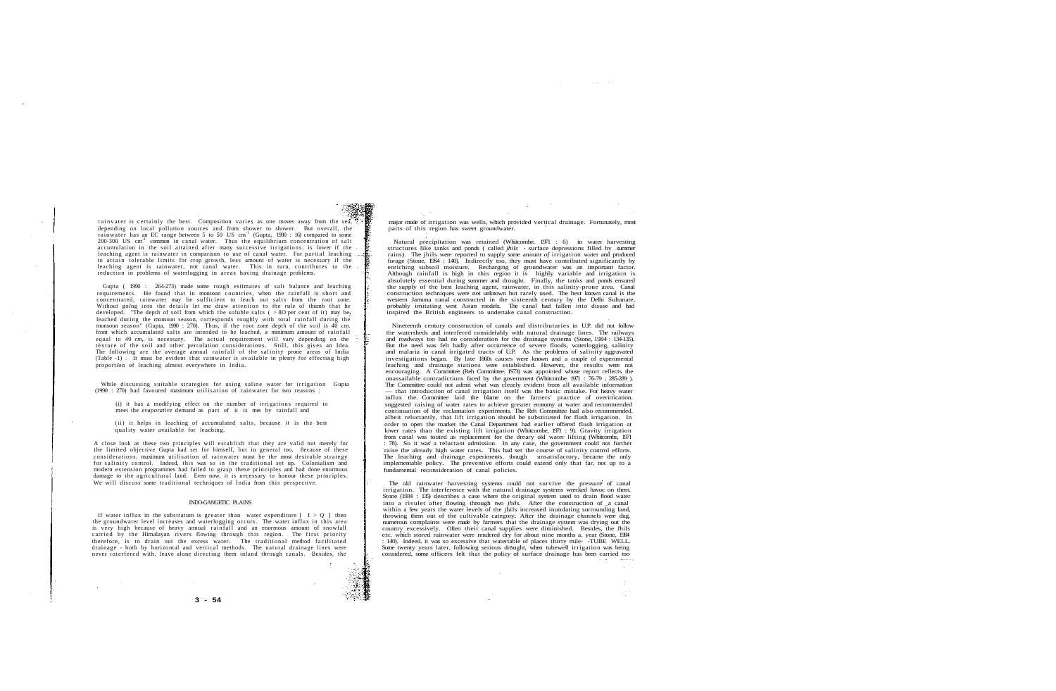rainvater is certainly the best. Composition varies as one moves away from the sea, depending on local pollution sources and from shower to shower. But overall, the rainwater has an EC range between 5 to 50 US cm<sup>-1</sup> (Gupta, 1990 : 16) compared to some 200-300 US cm<sup>-1</sup> common in canal water. Thus the equilibrium concentration of salt accumulation in the soil attained after many successive irrigations, is lower if the leaching agent is rainwater in comparison to use of canal water. For partial leaching to attain tolerable limits for crop growth, less amount of water is necessary if the leaching agent is rainwater, not canal water. This in turn, contributes to the reduction in problems of waterlogging in areas having drainage problems.

While discussing suitable strategies for using saline water for irrigation Gupta  $(1990 : 270)$  had favoured maximum utilisation of rainwater for two reasons :

Gupta ( 1990 : 264-273) made some rough estimates of salt balance and leaching requirements. He found that in monsoon countries, when the rainfall is short and concentrated, rainwater may be sufficient to leach out salts from the root zone. Without going into the details let me draw attention to the rule of thumb that he developed. "The depth of soil from which the soluble salts ( $> 80$  per cent of it) may be "The depth of soil from which the soluble salts ( $> 80$  per cent of it) may be leached during the monsoon season, corresponds roughly with total rainfall during the monsoon season" (Gunta, 1990 : 270). Thus, if the root zone depth of the soil is 40 cm. front which accumulated salts are intended to be leached, a minimum amount of rainfall equal to 40 *cm*, is necessary. The actual requirement will vary depending on the texture of the soil and other percolation considerations. Still, this gives an Idea. The following are the average annual rainfall of the salinity prone areas of India (Table -1) . It must be evident that rainwater is available in plenty for effecting high proportion of leaching almost everywhere in India.

 $\sim$   $\sim$ 

If water influx in the substratum is greater than water expenditure  $[-I > Q]$  then the groundwater level increases and waterlogging occurs. The water influx in this area is very high because of heavy annual rainfall and an enormous amount of snowfall carried by the Himalayan rivers flowing through this region. The first priority therefore, is to drain out the excess water. The traditional method facilitated drainage - both by horizontal and vertical methods. The natural drainage lines were never interfered with, leave alone directing them inland through canals. Besides, the

(i) it has a modifying effect on the number of irrigations required to meet the *evaporative* demand as part of it is met by rainfall and

(ii) it helps in leaching of accumulated salts, because it is the best quality water available for leaching.

A close look at these two principles will establish that they are valid not merely for the limited objective Gupta had set for himself, but in general too. 8ecause of these considerations, maximum utilisation of rainwater must be the most desirable strategy for salinity control. Indeed, this was so in the traditional set up. Colonialism and modern extension programmes had failed to grasp these principles and had done enormous damage to the agricultural land. Even now, it is necessary to honour these principles. We will discuss some traditional techniques of India from this perspective.

### INDO-GANGETIC PLAINS

 $\sim 10^{11}$ 

major mode of irrigation was wells, which provided vertical drainage. Fortunately, most parts of this region has sweet groundwater.

and the state of

 $\sim 10$ 

The old rainwater harvesting systems could not survive the pressure of canal irrigation. The interference with the natural drainage systems wrecked havoc on them. Stone (1934 : 135) describes a case where the original system used to drain flood water into a rivulet after flowing through two *jhils*. After the construction of a canal within a few years the water levels of the jhils increased inundating surrounding land, throwing them out of the cultivable category. After the drainage channels were dug, numerous complaints were made by farmers that the drainage system was drying out the country excessively. Often their canal supplies were diminished. Besides, the Jhils etc. which stored rainwater were rendered dry for about nine months a. year (Stone, 1984 : 140). Indeed, it was so excessive that watertable of places thirty mile- -TUBE WELL. Some twenty years later, following serious drought, when tubewell irrigation was being considered, some officers felt that the policy of surface drainage has been carried too

Natural precipitation was retained (Whitcombe. 1971 : 6) in water harvesting structures like tanks and ponds ( called *jhils -* surface depressions filled by summer rains). The jhils were reported to supply some anount *of* irrigation water and produced forage (Stone, 19S4 : 140). Indirectly too, they must have contributed significantly by enriching subsoil moisture. Recharging of groundwater was an important factor. Although rainfall is high in this region it is highly variable and irrigation is absolutely essential during summer and drought. Finally, the tanks and ponds ensured the supply of the best leaching agent, rainwater, in this salinity-prone area. Canal construction techniques were not unknown but rarely used. The best known canal is the western Jamuna canal constructed in the sixteenth century by the Delhi Sultanate, probably imitating west Asian models. The canal had fallen into disuse and had inspired the British engineers to undertake canal construction.

Nineteenth century construction of canals and distributaries in U.P. did not follow the watersheds and interfered considerably with natural drainage lines. The railways and roadways too had no consideration for the drainage systems (Stone, 1984 : 134-135). But the need was felt badly after occurrence of severe floods, waterlogging, salinity and malaria in canal irrigated tracts of U.P. As the problems of salinity aggravated investigations began. By late 1860s causes were known and a couple of experimental leaching and drainage stations were established. However, the results were not encouraging. A Committee (Reh Committee. IS73) was appointed whose report reflects the unassailable contradictions faced by the government (Whitcombe. 1971 : 76-79 ; 285-289 ). The Committee could not admit what was clearly evident from all available information — that introduction of canal irrigation itself was the basic mistake. For heavy water influx the. Committee laid the blame on the farners' practice of overirrication. suggested raising of water rates to achieve greater economy at water and recommended continuation of the reclamation experiments. The Reh Committee had also recommended. albeit reluctantly, that lift irrigation should be substituted for flush irrigation. In order to open the market the Canal Department had earlier offered flush irrigation at lower rates than the existing lift irrigation (Whitcombe, 1971 : 9). Gravity irrigation from canal was touted as replacement for the dreary old water lifting (Whitcombe, 1971 : 78). So it was a reluctant admission. In any case, the government could not further raise the already high water rates. This had set the course of salinity control efforts. The leaching and drainage experiments, though unsatisfactory, became the only implementable policy. The preventive efforts could extend only that far, not up to a fundamental reconsideration of canal policies.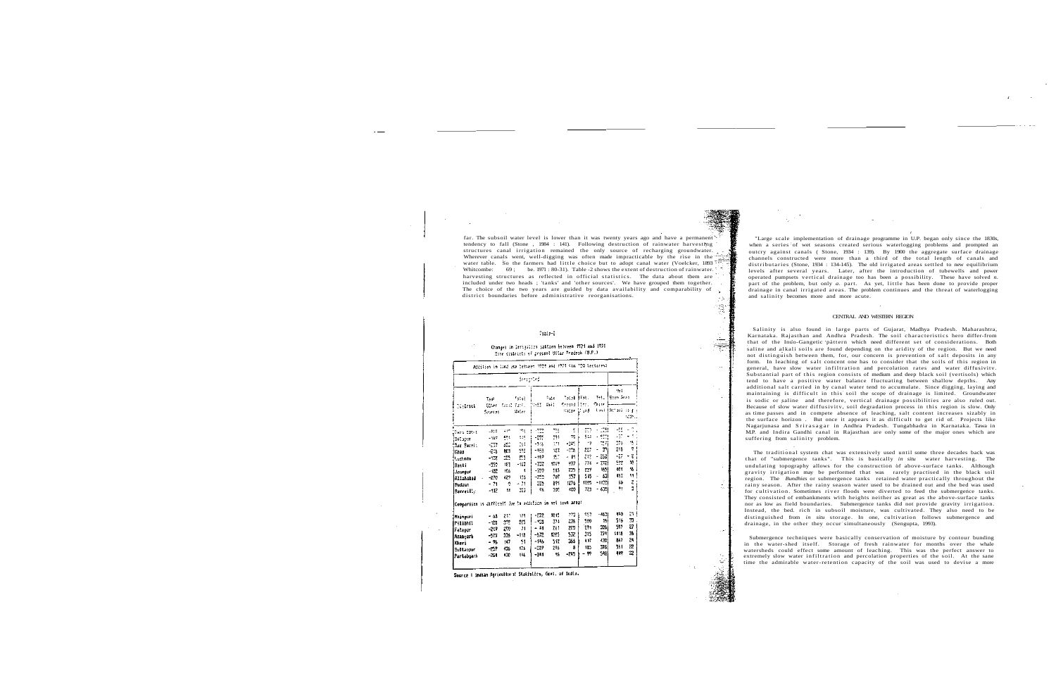far. The subsoil water level is lower than it was twenty years ago and have a permanent tendency to fall (Stone , 1984 : 141). Following destruction of rainwater harvesting structures canal irrigation remained the only source of recharging groundwater. Wherever canals went, well-digging was often made impracticable by the rise in the water table. So the farmers had little choice but to adopt canal water (Voelcker, 1893 Whitcombe: 69; be. 1971 : 80-31). Table -2 shows the extent of destruction of rainwaterharvesting structures as reflected in official statistics. The data about them are included under two heads ; 'tanks' and 'other sources'. We have grouped them together. The choice of the two years are guided by data availability and comparability of district boundaries before administrative reorganisations.

#### $\tau_{\rm Edd}$  .

### Changes in Irrigation pattern between 1901 and 1974 Same districts of present Uttar Pradeob (U.P.)

|                                                           |                              |           |                                | deeps to di                |                 |                                             |            |                  |                                               |
|-----------------------------------------------------------|------------------------------|-----------|--------------------------------|----------------------------|-----------------|---------------------------------------------|------------|------------------|-----------------------------------------------|
| Sistem                                                    | Taak<br>Gilbert -<br>Searces |           | folai<br>Canal Title<br>Saler. | <b>Septe</b>               | Figue.<br>Se ES | tacal Itali<br>Cream#  ltr.<br>Sater 11 and |            | Tet.<br>Farre    | Mat.<br><b>Standards</b><br>tast lactusi si p |
| (Sara 1904                                                | -444                         | ÷.        | $\sim$                         | -753                       | *1              | ¢.                                          | m          | ES!              | -95                                           |
| Sitter                                                    | $-127$                       | 521       | 115                            | $\mathcal{L}^{\text{reg}}$ | 771             | 75.                                         | 544        | e neg            | -10                                           |
| 2aa Bareli                                                | $\sim 10$                    | ger<br>Si | 26                             | -518                       | 171             | $\sim 10$                                   | 17         | 73               | 275<br>235                                    |
| Caao                                                      | -215                         | 501       | 592                            | -453                       | 153             | -205                                        | 227        | m                | -27                                           |
| Lacknow                                                   | $-1.72$                      | 25        | 23                             | -162                       | 157             | - 11                                        | 212<br>774 | - 2581<br>- 372) | 502                                           |
| Basti                                                     | -552                         | 特言        | $-163$                         | $-1.7$                     | 1267            | 937                                         | 27         | 1551             | $404 -$                                       |
| Jauneur                                                   | $-102$                       | 105       | 4                              | -759                       | - 15            | 23<br>157                                   | 5 i S      | - 531            | 453                                           |
| Allahabad                                                 | -270                         | 427       | 155<br>$-71$                   | -359<br>35                 | 707<br>891      | 1775                                        | 1225       | -11391           | 56                                            |
| Fudaut<br><b>Parreilly</b>                                | - 71<br>-112                 | ÷<br>u.   | 223                            | ΦE.                        | 305             | :00                                         | 723        | - 635)           | 91                                            |
| Comparison is difficult fue to addition in net seen area: |                              |           |                                |                            |                 |                                             |            |                  |                                               |
| Hainpuri                                                  | - 65                         | æ         | 175                            | -272                       | 1015            | 173                                         | 993        | $-4631$          | 490                                           |
| Pilibhit                                                  | $-128$                       | 3TE       | 215                            | - 125                      | 374             | 23.                                         | 520        | 19               | 515                                           |
| Fatern                                                    | -217                         | 29        | 71                             | - 41                       | 26 I            | 229                                         | 291        | 305              | 597                                           |
| Azancarh                                                  | -53                          | 325       | $-118$                         | -572                       | izn5            | 532                                         | 215        | 774              | 1118                                          |
| Kheri                                                     | - 96                         | 147       | 51                             | $-146$                     | 512             | 355                                         | 447        | 430 l            | 847                                           |
| Sultanour                                                 | -259                         | 435       | 175                            | $-227$                     | 2%              | В                                           | 185        | I76.             | 551                                           |
| Partabearh                                                | $-25 -$                      | 430       | 146                            | -341                       | ۹6              | $-245$                                      | - 97       | 5481             | 449                                           |

霞

٢

Salinity is also found in large parts of Gujarat, Madhya Pradesh. Maharashtra, Karnataka. Rajasthan and Andhra Pradesh. The soil characteristics hero differ-from that of the Inuo-Gangetic pattern which need different set of considerations. Both saline and alkali soils are found depending on the aridity of the region. But we need not distinguish between them, for, our concern is prevention of salt deposits in any form. In leaching of salt concent one has to consider that the soils of this region in general, have slow water infiltration and percolation rates and water diffusivitv. Substantial part of this region consists of medium and deep black soil (vertisols) which tend to have a positive water balance fluctuating between shallow depths. Any additional salt carried in by canal water tend to accumulate. Since digging, laying and maintaining is difficult in this soil the scope of drainage is limited. Groundwater is sodic or saline and therefore, vertical drainage possibilities are also ruled out. Because of slow water diffusivitv, soil degradation process in this region is slow. Only as time passes and in compete absence of leaching, salt content increases sizably in the surface horizon . But once it appears it as difficult to get rid of. Projects like Nagarjunasa and Srirasagar in Andhra Pradesh. Tungabhadra in Karnataka. Tawa in M.P. and Indira Gandhi canal in Rajasthan are only some of the major ones which are suffering from salinity problem.

"Large scale implementation of drainage programme in U.P. began only since the 1830s, when a series of wet seasons created serious waterlogging problems and prompted an outcry against canals ( Stone, 1934 : 139). By 1900 the aggregate surface drainage channels constructed were more than a third of the total length of canals and distributaries (Stone, 1934 : 134-145). The old irrigated areas settled to new equilibrium levels after several years. Later, after the introduction of tubewells and power operated pumpsets vertica l drainage too has been a possibility. These have solved *n.* part of the problem, but only *a.* part. As yet, little has been done to provide proper drainage in canal irrigated areas. The problem continues and the threat of waterlogging and salinity becomes more and more acute.

### CENTRAL AND WESTERN REGION

The traditional system chat was extensively used until some three decades back was that of "submergence tanks". This is basically in situ water harvesting. The undulating topography allows for the construction of above-surface tanks. Although gravity irrigation may be performed that was rarely practised in the black soil region. The *Bundhies* or submergence tanks retained water practically throughout the rainy season. After the rainy season water used to be drained out and the bed was used for cultivation. Sometimes river floods were diverted to feed the submergence tanks. They consisted of embankments with heights neither as great as the above-surface tanks nor as low as field boundaries. Submergence tanks did not provide gravity irrigation. Instead, the bed. rich in subsoil moisture, was cultivated. They also need to be distinguished from *in situ* storage. In one, cultivation follows submergence and drainage, in the other they occur simultaneously (Sengupta, 1993).

Submergence techniques were basically conservation of moisture by contour bunding in the water-shed itself. Storage of fresh rainwater for months over the whale watersheds could effect some amount of leaching. This was the perfect answer to extremely slow water infiltration and percolation properties of the soil. At the sane time the admirable water-retention capacity of the soil was used to devise a more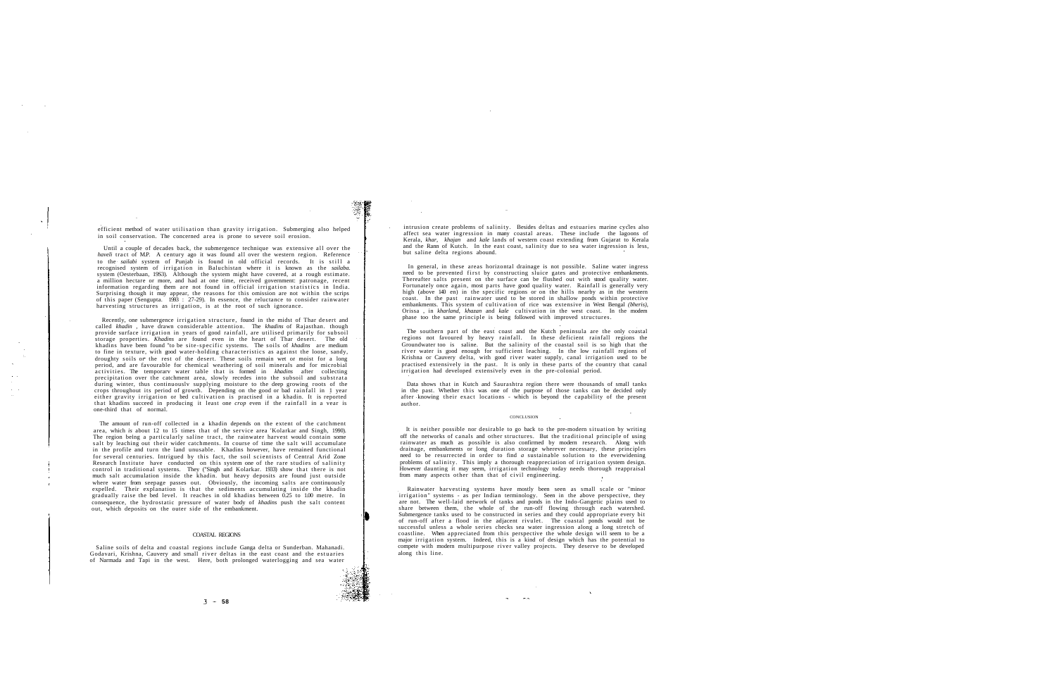efficient method of water utilisation than gravity irrigation. Submerging also helped in soil conservation. The concerned area is prone to severe soil erosion.

Until a couple of decades back, the submergence technique was extensive all over the *haveli* tract of M.P. A century ago it was found all over the western region. Reference to the *sailabi* system of Punjab is found in old official records. It is stil l a recognised system of irrigation in Baluchistan where it is known as the *sailaba.* system (Oesterbaan, 19S3). Although the system might have covered, at a rough estimate. a million hectare or more, and had at one time, received government: patronage, recent information regarding them are not found in official irrigation statistic s in India. Surprising though it may appear, the reasons for this omission are not within the scrips of this paper (Sengupta. 1993 : 27-29). In essence, the reluctance to consider rainwater harvesting structures as irrigation, is at the root of such ignorance.

Î

Recently, one submergence irrigation structure, found in the midst of Thar desert and called *khadin ,* have drawn considerable attention. The *khadins* of Rajasthan. though provide surface irrigation in years of good rainfall, are utilised primarily for subsoil storage properties. *Khadins* are found even in the heart of Thar desert. The old khadins have been found "to be site-specific systems. The soils of khadins are medium to fine in texture, with good water-holding characteristics as against the loose, sandy, droughty soils or the rest of the desert. These soils remain wet or moist for a long period, and are favourable for chemical weathering of soil minerals and for microbial activities. The temporary water table that is formed in khadins after collecting precipitation over the catchment area, slowly recedes into the subsoil and substrata during winter, thus continuouslv supplying moisture to the deep growing roots of the crops throughout its period of growth. Depending on the good or bad rainfall in 1 year either gravity irrigation or bed cultivation is practised in a khadin. It is reported that khadins succeed in producing it least one *crop* even if the rainfall in a vear is one-third that of normal.

The amount of run-off collected in a khadin depends on the extent of the catchment area, which *is* about 12 to 15 times that of the service area 'Kolarkar and Singh, 1990). The region being a particularly saline tract, the rainwater harvest would contain some salt by leaching out their wider catchments. In course of time the salt will accumulate in the profile and turn the land unusable. Khadins however, have remained functional for several centuries. Intrigued by this fact, the soil scientists of Central Arid Zone Research Institute have conducted on this system one of the rare studies of salinity<br>control in traditional systerns. They ("Singh and Kolarkar. 1933) show that there is not much salt accumulation inside the khadin. but heavy deposits are found just outside where water from seepage passes out. Obviously, the incoming salts are continuously expelled. Their explanation is that the sediments accumulating inside the khadin gradually raise the bed level. It reaches in old khadins between 0.25 to 1.00 metre. In consequence, the hydrostatic pressure of water body of *khadins* push the salt content out, which deposits on the outer side of the embankment.

The southern part of the east coast and the Kutch peninsula are the only coastal<br>regions not favoured by heavy rainfall. In these deficient rainfall regions the<br>Groundwater too is saline. But the salinity of the coastal so river water is good enough for sufficient leaching. In the low rainfall regions of Krishna or Cauvery delta, with good river water supply, canal irrigation used to be practised extensively in the past. It is only in these parts of the country that canal irrigation had developed extensively even in the pre-colonial period.

It is neither possible nor desirable to go back to the pre-modern situation by writing off the networks of canals and other structures. But the traditional principle of using rainwater as much as possible is also confirmed by modern research. Along with drainage, embankments or long duration storage wherever necessary, these principles need to be resurrected in order to find *a* sustainable solution to the everwidening problems of salinity. This imply a thorough reappreciation of irrigation system design. However daunting it may seem, irrigation technology today needs thorough reappraisal from many aspects other than that of civil engineering.

#### COASTAL REGIONS

Saline soils of delta and coastal regions include Ganga delta or Sunderban. Mahanadi. Godavari, Krishna, Cauvery and small river deltas in the east coast and the estuaries of Narmada and Tapi in the west. Here, both prolonged waterlogging and sea water

intrusion create problems of salinity. Besides deltas and estuaries marine cycles also affect sea water ingression in many coastal areas. These include the lagoons of Kerala, *khar, khajan* and *kale* lands of western coast extending from Gujarat to Kerala and the Rann of Kutch. In the east coast, salinity due to sea water ingression is less, but saline delta regions abound.

In general, in these areas horizontal drainage is not possible. Saline water ingress need to be prevented first by constructing sluice gates and protective embankments. Thereafter salts present on the surface can be flushed out with stood quality water. Fortunately once again, most parts have good quality water. Rainfall is generally very high (above 140 en) in the specific regions or on the hills nearby as in the western coast. In the past rainwater used to be stored in shallow ponds within protective embankments. This system of cultivation of rice was extensive in West Bengal *(bheris),* Orissa , in *kharland, khazan* and *kale* cultivation in the west coast. In the modern phase too the same principle is being followed with improved structures.

Data shows that in Kutch and Saurashtra region there were thousands of small tanks in the past. Whether this was one of the purpose of those tanks can be decided only after knowing their exact locations - which is beyond the capability of the present author.

#### **CONCLUSION**

Rainwater harvesting systems have mostly been seen as small scale or "minor irrigation" systems - as per Indian terminology. Seen in the above perspective, they are not. The well-laid network of tanks and ponds in the Indo-Gangetic plains used to share between them, the whole of the run-off flowing through each watershed. Submergence tanks used to be constructed in series and they could appropriate every bit of run-off after a flood in the adjacent rivulet. The coastal ponds would not be successful unless a whole series checks sea water ingression along a long stretch of coastline. When appreciated from this perspective the whole design will seem to be a major irrigation system. Indeed, this is a kind of design which has the potential to compete with modern multipurpose river valley projects. They deserve to be developed along this line.